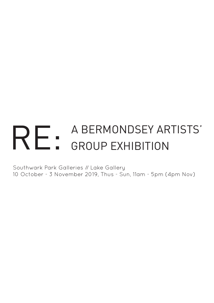# RE: A BERMONDSEY ARTISTS' GROUP EXHIBITION

Southwark Park Galleries // Lake Gallery 10 October - 3 November 2019, Thus - Sun, 11am - 5pm (4pm Nov)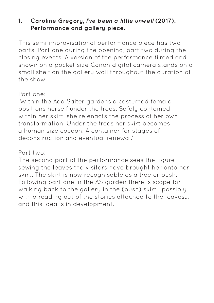# **1. Caroline Gregory, I've been a little unwell (2017). Performance and gallery piece.**

This semi improvisational performance piece has two parts. Part one during the opening, part two during the closing events. A version of the performance filmed and shown on a pocket size Canon digital camera stands on a small shelf on the gallery wall throughout the duration of the show.

#### Part one:

'Within the Ada Salter gardens a costumed female positions herself under the trees. Safely contained within her skirt, she re enacts the process of her own transformation. Under the trees her skirt becomes a human size cocoon. A container for stages of deconstruction and eventual renewal.'

#### Part two:

The second part of the performance sees the figure sewing the leaves the visitors have brought her onto her skirt. The skirt is now recognisable as a tree or bush. Following part one in the AS garden there is scope for walking back to the gallery in the (bush) skirt , possibly with a reading out of the stories attached to the leaves... and this idea is in development.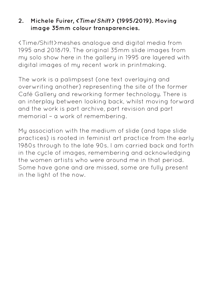## **2. Michele Fuirer, <Time/Shift> (1995/2019). Moving image 35mm colour transparencies.**

<Time/Shift>meshes analogue and digital media from 1995 and 2018/19. The original 35mm slide images from my solo show here in the gallery in 1995 are layered with digital images of my recent work in printmaking.

The work is a palimpsest (one text overlaying and overwriting another) representing the site of the former Café Gallery and reworking former technology. There is an interplay between looking back, whilst moving forward and the work is part archive, part revision and part memorial – a work of remembering.

My association with the medium of slide (and tape slide practices) is rooted in feminist art practice from the early 1980s through to the late 90s. I am carried back and forth in the cucle of images, remembering and acknowledging the women artists who were around me in that period. Some have gone and are missed, some are fully present in the light of the now.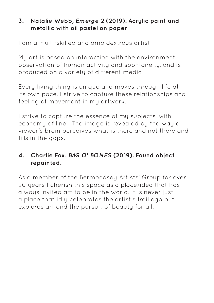# **3. Natalie Webb, Emerge 2 (2019). Acrylic paint and metallic with oil pastel on paper**

I am a multi-skilled and ambidextrous artist

My art is based on interaction with the environment, observation of human activity and spontaneity, and is produced on a variety of different media.

Every living thing is unique and moves through life at its own pace. I strive to capture these relationships and feeling of movement in my artwork.

I strive to capture the essence of my subjects, with economy of line. The image is revealed by the way a viewer's brain perceives what is there and not there and fills in the gaps.

# **4. Charlie Fox, BAG O' BONES (2019). Found object repainted.**

As a member of the Bermondsey Artists' Group for over 20 years I cherish this space as a place/idea that has always invited art to be in the world. It is never just a place that idly celebrates the artist's frail ego but explores art and the pursuit of beauty for all.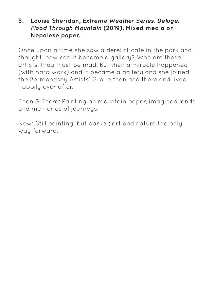#### **5. Louise Sheridan, Extreme Weather Series, Deluge, Flood Through Mountain (2019). Mixed media on Nepalese paper.**

Once upon a time she saw a derelict cafe in the park and thought, how can it become a gallery? Who are these artists, they must be mad. But then a miracle happened (with hard work) and it became a gallery and she joined the Bermondsey Artists' Group then and there and lived happily ever after.

Then & There: Painting on mountain paper, imagined lands and memories of journeys.

Now: Still painting, but darker; art and nature the only way forward.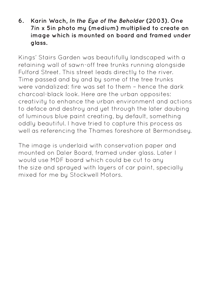## **6. Karin Wach, In the Eye of the Beholder (2003). One 7in x 5in photo my (medium) multiplied to create an image which is mounted on board and framed under glass.**

Kings' Stairs Garden was beautifully landscaped with a retaining wall of sawn-off tree trunks running alongside Fulford Street. This street leads directly to the river. Time passed and by and by some of the tree trunks were vandalized: fire was set to them – hence the dark charcoal-black look. Here are the urban opposites: creativity to enhance the urban environment and actions to deface and destroy and yet through the later daubing of luminous blue paint creating, by default, something oddly beautiful. I have tried to capture this process as well as referencing the Thames foreshore at Bermondsey.

The image is underlaid with conservation paper and mounted on Daler Board, framed under glass. Later I would use MDF board which could be cut to any the size and sprayed with layers of car paint, specially mixed for me by Stockwell Motors.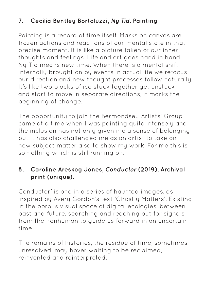# **7. Cecilia Bentley Bortoluzzi, Ny Tid. Painting**

Painting is a record of time itself. Marks on canvas are frozen actions and reactions of our mental state in that precise moment. It is like a picture taken of our inner thoughts and feelings. Life and art goes hand in hand. Ny Tid means new time. When there is a mental shift internally brought on by events in actual life we refocus our direction and new thought processes follow naturally. It's like two blocks of ice stuck together get unstuck and start to move in separate directions, it marks the beginning of change.

The opportunity to join the Bermondsey Artists' Group came at a time when I was painting quite intensely and the inclusion has not only given me a sense of belonging but it has also challenged me as an artist to take on new subject matter also to show my work. For me this is something which is still running on.

# **8. Caroline Areskog Jones, Conductor (2019). Archival print (unique).**

Conductor' is one in a series of haunted images, as inspired by Avery Gordon's text 'Ghostly Matters'. Existing in the porous visual space of digital ecologies, between past and future, searching and reaching out for signals from the nonhuman to guide us forward in an uncertain time.

The remains of histories, the residue of time, sometimes unresolved, may hover waiting to be reclaimed, reinvented and reinterpreted.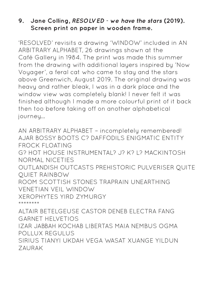## **9. Jane Colling, RESOLVED - we have the stars (2019). Screen print on paper in wooden frame.**

'RESOLVED' revisits a drawing 'WINDOW' included in AN ARBITRARY ALPHABET, 26 drawings shown at the Café Gallery in 1984. The print was made this summer from the drawing with additional layers inspired by 'Now Voyager', a feral cat who came to stay and the stars above Greenwich, August 2019. The original drawing was heavy and rather bleak, I was in a dark place and the window view was completely blank! I never felt it was finished although I made a more colourful print of it back then too before taking off on another alphabetical journey…

AN ARBITRARY ALPHABET – incompletely remembered! AJAR BOSSY BOOTS C? DAFFODILS ENIGMATIC ENTITY FROCK FLOATING G? HOT HOUSE INSTRUMENTAL? J? K? L? MACKINTOSH NORMAL NICETIES OUTLANDISH OUTCASTS PREHISTORIC PULVERISER QUITE QUIET RAINBOW ROOM SCOTTISH STONES TRAPRAIN UNEARTHING VENETIAN VEIL WINDOW XEROPHYTES YIRD ZYMURGY \*\*\*\*\*\*\*\*

ALTAIR BETELGEUSE CASTOR DENEB ELECTRA FANG GARNET HELVETIOS IZAR JABBAH KOCHAB LIBERTAS MAIA NEMBUS OGMA POLLUX REGULUS SIRIUS TIANYI UKDAH VEGA WASAT XUANGE YILDUN ZAURAK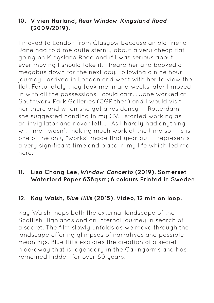# **10. Vivien Harland, Rear Window Kingsland Road (2009/2019).**

I moved to London from Glasgow because an old friend Jane had told me quite sternly about a very cheap flat going on Kingsland Road and if I was serious about ever moving I should take it. I heard her and booked a megabus down for the next day. Following a nine hour journey I arrived in London and went with her to view the flat. Fortunately they took me in and weeks later I moved in with all the possessions I could carry. Jane worked at Southwark Park Galleries (CGP then) and I would visit her there and when she got a residency in Rotterdam, she suggested handing in my CV. I started working as an invigilator and never left…. As I hardly had anything with me I wasn't making much work at the time so this is one of the only "works" made that year but it represents a very significant time and place in my life which led me here.

# **11. Lisa Chang Lee, Window Concerto (2019). Somerset Waterford Paper 638gsm; 6 colours Printed in Sweden**

## **12. Kay Walsh, Blue Hills (2015). Video, 12 min on loop.**

Kay Walsh maps both the external landscape of the Scottish Highlands and an internal journey in search of a secret. The film slowly unfolds as we move through the landscape offering glimpses of narratives and possible meanings. Blue Hills explores the creation of a secret hide-away that is legendary in the Cairngorms and has remained hidden for over 60 years.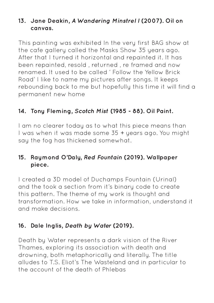## **13. Jane Deakin, A Wandering Minstrel I (2007). Oil on canvas.**

This painting was exhibited In the very first BAG show at the cafe gallery called the Masks Show 35 years ago. After that I turned it horizontal and repainted it. It has been repainted, resold , returned , re framed and now renamed. It used to be called ' Follow the Yellow Brick Road' I like to name my pictures after songs. It keeps rebounding back to me but hopefully this time it will find a permanent new home

# **14. Tony Fleming, Scotch Mist (1985 - 88). Oil Paint.**

I am no clearer today as to what this piece means than I was when it was made some 35 + years ago. You might say the fog has thickened somewhat.

## **15. Raymond O'Daly, Red Fountain (2019). Wallpaper piece.**

I created a 3D model of Duchamps Fountain (Urinal) and the took a section from it's binary code to create this pattern. The theme of my work is thought and transformation. How we take in information, understand it and make decisions.

## **16. Dale Inglis, Death by Water (2019).**

Death by Water represents a dark vision of the River Thames, exploring its association with death and drowning, both metaphorically and literally. The title alludes to T.S. Eliot's The Wasteland and in particular to the account of the death of Phlebas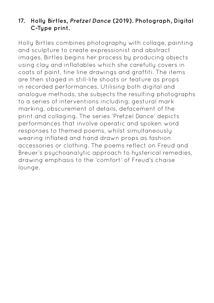# **17. Holly Birtles, Pretzel Dance (2019). Photograph, Digital C-Type print.**

Holly Birtles combines photography with collage, painting and sculpture to create expressionist and abstract images. Birtles begins her process by producing objects using clay and inflatables which she carefully covers in coats of paint, fine line drawings and graffiti. The items are then staged in still-life shoots or feature as props in recorded performances. Utilising both digital and analogue methods, she subjects the resulting photographs to a series of interventions including, gestural mark marking, obscurement of details, defacement of the print and collaging. The series 'Pretzel Dance' depicts performances that involve operatic and spoken word responses to themed poems, whilst simultaneously wearing inflated and hand drawn props as fashion accessories or clothing. The poems reflect on Freud and Breuer's psychoanalytic approach to hysterical remedies, drawing emphasis to the 'comfort' of Freud's chaise lounge.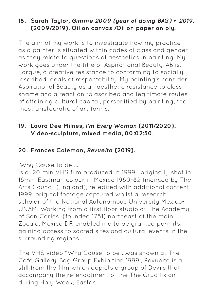# **18. Sarah Taylor, Gimme 2009 (year of doing BAG) + 2019. (2009/2019). Oil on canvas /Oil on paper on ply.**

The aim of my work is to investigate how my practice as a painter is situated within codes of class and gender as they relate to questions of aesthetics in painting. My work goes under the title of Aspirational Beauty. AB is, I argue, a creative resistance to conforming to socially inscribed ideals of respectability. My painting's consider Aspirational Beauty as an aesthetic resistance to class shame and a reaction to ascribed and legitimate routes of attaining cultural capital, personified by painting, the most aristocratic of art forms.

# **19. Laura Dee Milnes, I'm Every Woman (2011/2020). Video-sculpture, mixed media, 00:02:30.**

# **20. Frances Coleman, Revuelta (2019).**

'Why Cause to be ….

Is a 20 min VHS film produced in 1999 , originally shot in 16mm Eastman colour in Mexico 1980-82 financed by The Arts Council (England), re-edited with additional content 1999, original footage captured whilst a research scholar of the National Autonomous University Mexico-UNAM. Working from a first floor studio at The Academy of San Carlos (founded 1781) northeast of the main Zocalo, Mexico DF, enabled me to be granted permits, gaining access to sacred sites and cultural events in the surrounding regions.

The VHS video "Why Cause to be …was shown at The Cafe Gallery, Bag Group Exhibition 1999., Revuelta is a still from the film which depicts a group of Devils that accompany the re-enactment of the The Crucifixion during Holy Week, Easter.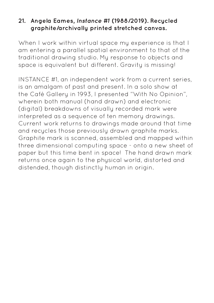## **21. Angela Eames, Instance #1 (1988/2019). Recycled graphite/archivally printed stretched canvas.**

When I work within virtual space my experience is that I am entering a parallel spatial environment to that of the traditional drawing studio. My response to objects and space is equivalent but different. Gravity is missing!

INSTANCE #1, an independent work from a current series, is an amalgam of past and present. In a solo show at the Café Gallery in 1993, I presented "With No Opinion", wherein both manual (hand drawn) and electronic (digital) breakdowns of visually recorded mark were interpreted as a sequence of ten memory drawings. Current work returns to drawings made around that time and recycles those previously drawn graphite marks. Graphite mark is scanned, assembled and mapped within three dimensional computing space - onto a new sheet of paper but this time bent in space! The hand drawn mark returns once again to the physical world, distorted and distended, though distinctly human in origin.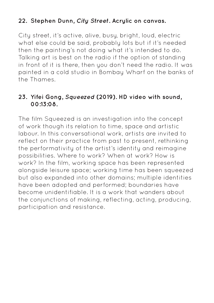# **22. Stephen Dunn, City Street. Acrylic on canvas.**

City street, it's active, alive, busy, bright, loud, electric what else could be said, probably lots but if it's needed then the painting's not doing what it's intended to do. Talking art is best on the radio if the option of standing in front of it is there, then you don't need the radio. It was painted in a cold studio in Bombay Wharf on the banks of the Thames.

## **23. Yifei Gong, Squeezed (2019). HD video with sound, 00:13:08.**

The film Squeezed is an investigation into the concept of work though its relation to time, space and artistic labour. In this conversational work, artists are invited to reflect on their practice from past to present, rethinking the performativity of the artist's identity and reimagine possibilities. Where to work? When at work? How is work? In the film, working space has been represented alongside leisure space; working time has been squeezed but also expanded into other domains; multiple identities have been adopted and performed; boundaries have become unidentifiable. It is a work that wanders about the conjunctions of making, reflecting, acting, producing, participation and resistance.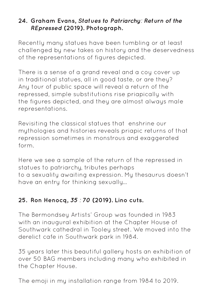# **24. Graham Evans, Statues to Patriarchy: Return of the REpressed (2019). Photograph.**

Recently many statues have been tumbling or at least challenged by new takes on history and the deservedness of the representations of figures depicted.

There is a sense of a grand reveal and a coy cover up in traditional statues, all in good taste, or are they? Any tour of public space will reveal a return of the repressed, simple substitutions rise priapically with the figures depicted, and they are almost always male representations.

Revisiting the classical statues that enshrine our mythologies and histories reveals priapic returns of that repression sometimes in monstrous and exaggerated form.

Here we see a sample of the return of the repressed in statues to patriarchy, tributes perhaps to a sexuality awaiting expression. My thesaurus doesn't have an entry for thinking sexually…

# **25. Ron Henocq, 35 : 70 (2019). Lino cuts.**

The Bermondsey Artists' Group was founded in 1983 with an inaugural exhibition at the Chapter House of Southwark cathedral in Tooley street. We moved into the derelict cafe in Southwark park in 1984.

35 years later this beautiful gallery hosts an exhibition of over 50 BAG members including many who exhibited in the Chapter House.

The emoji in my installation range from 1984 to 2019.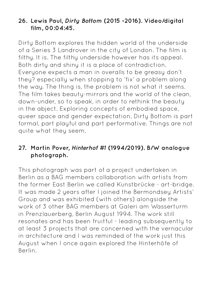## **26. Lewis Paul, Dirty Bottom (2015 -2016). Video/digital film, 00:04:45.**

Dirty Bottom explores the hidden world of the underside of a Series 3 Landrover in the city of London. The film is filthy. It is. The filthy underside however has its appeal. Both dirty and shiny it is a place of contradiction. Everyone expects a man in overalls to be greasy don't they? especially when stopping to 'fix' a problem along the way. The thing is, the problem is not what it seems. The film takes beauty-mirrors and the world of the clean, down-under, so to speak, in order to rethink the beauty in the abject. Exploring concepts of embodied space, queer space and gender expectation, Dirty Bottom is part formal, part playful and part performative. Things are not quite what they seem.

# **27. Martin Pover, Hinterhof #1 (1994/2019). B/W analogue photograph.**

This photograph was part of a project undertaken in Berlin as a BAG members collaboration with artists from the former East Berlin we called Kunstbrücke - art-bridge. It was made 2 years after I joined the Bermondsey Artists' Group and was exhibited (with others) alongside the work of 3 other BAG members at Galeri am Wasserturm in Prenzlauerberg, Berlin August 1994. The work still resonates and has been fruitful - leading subsequently to at least 3 projects that are concerned with the vernacular in architecture and I was reminded of the work just this August when I once again explored the Hinterhöfe of Berlin.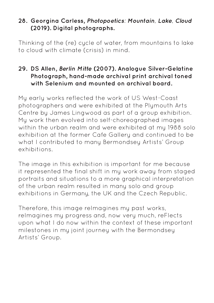## **28. Georgina Carless, Photopoetics: Mountain, Lake, Cloud (2019). Digital photographs.**

Thinking of the (re) cycle of water, from mountains to lake to cloud with climate (crisis) in mind.

## **29. DS Allen, Berlin Mitte (2007). Analogue Silver-Gelatine Photograph, hand-made archival print archival toned with Selenium and mounted on archival board.**

My early works reflected the work of US West-Coast photographers and were exhibited at the Plymouth Arts Centre by James Lingwood as part of a group exhibition. My work then evolved into self-choreographed images within the urban realm and were exhibited at mu 1988 solo exhibition at the former Cafe Gallery and continued to be what I contributed to many Bermondsey Artists' Group exhibitions.

The image in this exhibition is important for me because it represented the final shift in my work away from staged portraits and situations to a more graphical interpretation of the urban realm resulted in many solo and group exhibitions in Germany, the UK and the Czech Republic.

Therefore, this image reImagines my past works, reImagines my progress and, now very much, reFlects upon what I do now within the context of these important milestones in my joint journey with the Bermondsey Artists' Group.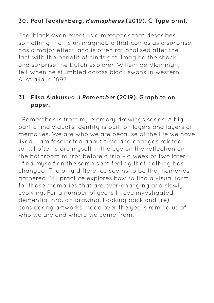# **30. Paul Tecklenberg, Hemispheres (2019). C-Type print.**

The 'black swan event' is a metaphor that describes something that is unimaginable that comes as a surprise, has a major effect, and is often rationalised after the fact with the benefit of hindsight. Imagine the shock and surprise the Dutch explorer, Willem de Vlamingh, felt when he stumbled across black swans in western Australia in 1697.

## **31. Elisa Alaluusua, I Remember (2019). Graphite on paper.**

I Remember is from my Memory drawings series. A big part of individual's identity is built on layers and layers of memories. We are who we are because of the life we have lived. I am fascinated about time and changes related to it. I often stare muself in the eye on the reflection on the bathroom mirror before a trip – a week or two later I find myself on the same spot feeling that nothing has changed. The only difference seems to be the memories gathered. My practice explores how to find a visual form for those memories that are ever-changing and slowly evolving. For a number of years I have investigated dementia through drawing. Looking back and (re) considering artworks made over the years remind us of who we are and where we came from.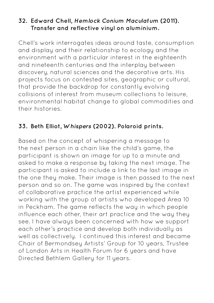## **32. Edward Chell, Hemlock Conium Maculatum (2011). Transfer and reflective vinyl on aluminium.**

Chell's work interrogates ideas around taste, consumption and display and their relationship to ecology and the environment with a particular interest in the eighteenth and nineteenth centuries and the interplay between discovery, natural sciences and the decorative arts. His projects focus on contested sites, geographic or cultural, that provide the backdrop for constantly evolving collisions of interest from museum collections to leisure, environmental habitat change to global commodities and their histories.

# **33. Beth Elliot, Whispers (2002). Polaroid prints.**

Based on the concept of whispering a message to the next person in a chain like the child's game, the participant is shown an image for up to a minute and asked to make a response by taking the next image. The participant is asked to include a link to the last image in the one they make. Their image is then passed to the next person and so on. The game was inspired by the context of collaborative practice the artist experienced while working with the group of artists who developed Area 10 in Peckham. The game reflects the way in which people influence each other, their art practice and the way they see. I have always been concerned with how we support each other's practice and develop both individually as well as collectively. I continued this interest and became Chair of Bermondsey Artists' Group for 10 years, Trustee of London Arts in Health Forum for 6 years and have Directed Bethlem Gallery for 11 years.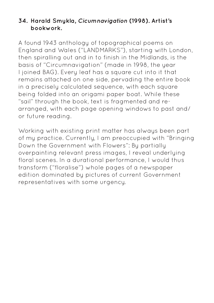## **34. Harald Smykla, Cicumnavigation (1998). Artist's bookwork.**

A found 1943 anthology of topographical poems on England and Wales ("LANDMARKS"), starting with London, then spiralling out and in to finish in the Midlands, is the basis of "Circumnavigation" (made in 1998, the year I joined BAG). Every leaf has a square cut into it that remains attached on one side, pervading the entire book in a precisely calculated sequence, with each square being folded into an origami paper boat. While these "sail" through the book, text is fragmented and rearranged, with each page opening windows to past and/ or future reading.

Working with existing print matter has always been part of my practice. Currently, I am preoccupied with "Bringing Down the Government with Flowers": By partially overpainting relevant press images, I reveal underlying floral scenes. In a durational performance, I would thus transform ("floralise") whole pages of a newspaper edition dominated by pictures of current Government representatives with some urgency.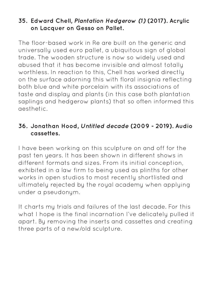## **35. Edward Chell, Plantation Hedgerow (1) (2017). Acrylic on Lacquer on Gesso on Pallet.**

The floor-based work in Re are built on the generic and universally used euro pallet, a ubiquitous sign of global trade. The wooden structure is now so widely used and abused that it has become invisible and almost totally worthless. In reaction to this, Chell has worked directly on the surface adorning this with floral insignia reflecting both blue and white porcelain with its associations of taste and display and plants (in this case both plantation saplings and hedgerow plants) that so often informed this aesthetic.

## **36. Jonathan Hood, Untitled decade (2009 - 2019). Audio cassettes.**

I have been working on this sculpture on and off for the past ten years. It has been shown in different shows in different formats and sizes. From its initial conception, exhibited in a law firm to being used as plinths for other works in open studios to most recently shortlisted and ultimately rejected by the royal academy when applying under a pseudonym.

It charts my trials and failures of the last decade. For this what I hope is the final incarnation I've delicately pulled it apart. By removing the inserts and cassettes and creating three parts of a new/old sculpture.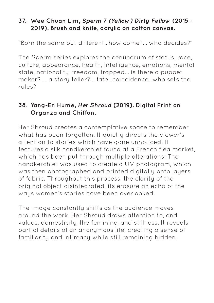## **37. Wee Chuan Lim, Sperm 7 (Yellow) Dirty Fellow (2015 - 2019). Brush and knife, acrylic on cotton canvas.**

"Born the same but different...how come?... who decides?"

The Sperm series explores the conundrum of status, race, culture, appearance, health, intelligence, emotions, mental state, nationality, freedom, trapped... is there a puppet maker? ... a story teller?... fate...coincidence...who sets the rules?

# **38. Yang-En Hume, Her Shroud (2019). Digital Print on Organza and Chiffon.**

Her Shroud creates a contemplative space to remember what has been forgotten. It quietly directs the viewer's attention to stories which have gone unnoticed. It features a silk handkerchief found at a French flea market, which has been put through multiple alterations: The handkerchief was used to create a UV photogram, which was then photographed and printed digitally onto layers of fabric. Throughout this process, the clarity of the original object disintegrated, its erasure an echo of the ways women's stories have been overlooked.

The image constantly shifts as the audience moves around the work. Her Shroud draws attention to, and values, domesticity, the feminine, and stillness. It reveals partial details of an anonymous life, creating a sense of familiarity and intimacy while still remaining hidden.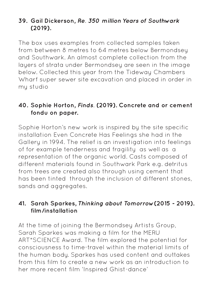# **39. Gail Dickerson, Re. 350 million Years of Southwark (2019).**

The box uses examples from collected samples taken from between 8 metres to 64 metres below Bermondsey and Southwark. An almost complete collection from the layers of strata under Bermondsey are seen in the image below. Collected this year from the Tideway Chambers Wharf super sewer site excavation and placed in order in my studio

## **40. Sophie Horton, Finds. (2019). Concrete and or cement fondu on paper.**

Sophie Horton's new work is inspired by the site specific installation Even Concrete Has Feelings she had in the Gallery in 1994. The relief is an investigation into feelings of for example tenderness and fragility as well as a representation of the organic world. Casts composed of different materials found in Southwark Park e.g. detritus from trees are created also through using cement that has been tinted through the inclusion of different stones, sands and aggregates.

# **41. Sarah Sparkes, Thinking about Tomorrow(2015 - 2019). film/installation**

At the time of joining the Bermondsey Artists Group, Sarah Sparkes was making a film for the MERU ART\*SCIENCE Award. The film explored the potential for consciousness to time-travel within the material limits of the human body. Sparkes has used content and outtakes from this film to create a new work as an introduction to her more recent film 'Inspired Ghist-dance'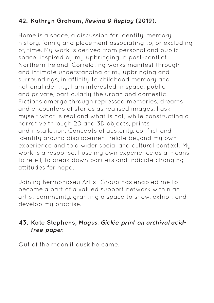# **42. Kathryn Graham, Rewind & Replay (2019).**

Home is a space, a discussion for identity, memory, history, family and placement associating to, or excluding of, time. My work is derived from personal and public space, inspired by my upbringing in post-conflict Northern Ireland. Correlating works manifest through and intimate understanding of my upbringing and surroundings, in affinity to childhood memory and national identity. I am interested in space, public and private, particularly the urban and domestic. Fictions emerge through repressed memories, dreams and encounters of stories as realised images. I ask myself what is real and what is not, while constructing a narrative through 2D and 3D objects, prints and installation. Concepts of austerity, conflict and identity around displacement relate beyond my own experience and to a wider social and cultural context. My work is a response. I use my own experience as a means to retell, to break down barriers and indicate changing attitudes for hope.

Joining Bermondsey Artist Group has enabled me to become a part of a valued support network within an artist community, granting a space to show, exhibit and develop my practise.

# **43. Kate Stephens, Magus. Giclée print on archival acidfree paper.**

Out of the moonlit dusk he came.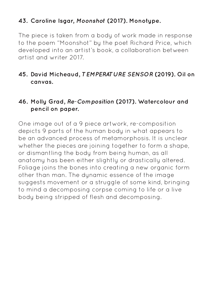# **43. Caroline Isgar, Moonshot (2017). Monotype.**

The piece is taken from a body of work made in response to the poem "Moonshot" by the poet Richard Price, which developed into an artist's book, a collaboration between artist and writer 2017.

## **45. David Micheaud, TEMPERATURE SENSOR (2019). Oil on canvas.**

## **46. Molly Grad, Re-Composition (2017). Watercolour and pencil on paper.**

One image out of a 9 piece artwork, re-composition depicts 9 parts of the human body in what appears to be an advanced process of metamorphosis. It is unclear whether the pieces are joining together to form a shape, or dismantling the body from being human, as all anatomy has been either slightly or drastically altered. Foliage joins the bones into creating a new organic form other than man. The dynamic essence of the image suggests movement or a struggle of some kind, bringing to mind a decomposing corpse coming to life or a live body being stripped of flesh and decomposing.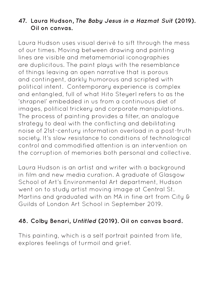# **47. Laura Hudson, The Baby Jesus in a Hazmat Suit (2019). Oil on canvas.**

Laura Hudson uses visual derivé to sift through the mess of our times. Moving between drawing and painting lines are visible and metamemorial iconographies are duplicitous. The paint plays with the resemblance of things leaving an open narrative that is porous and contingent, darkly humorous and scripted with political intent. Contemporary experience is complex and entangled, full of what Hito Steyerl refers to as the 'shrapnel' embedded in us from a continuous diet of images, political trickery and corporate manipulations. The process of painting provides a filter, an analogue strategy to deal with the conflicting and debilitating noise of 21st-century information overload in a post-truth society. It's slow resistance to conditions of technological control and commodified attention is an intervention on the corruption of memories both personal and collective.

Laura Hudson is an artist and writer with a background in film and new media curation. A graduate of Glasgow School of Art's Environmental Art department, Hudson went on to study artist moving image at Central St. Martins and graduated with an MA in fine art from City & Guilds of London Art School in September 2019.

## **48. Colby Benari, Untitled (2019). Oil on canvas board.**

This painting, which is a self portrait painted from life, explores feelings of turmoil and grief.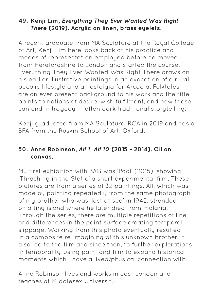## **49. Kenji Lim, Everything They Ever Wanted Was Right There (2019). Acrylic on linen, brass eyelets.**

A recent graduate from MA Sculpture at the Royal College of Art, Kenji Lim here looks back at his practice and modes of representation employed before he moved from Herefordshire to London and started the course. Everything They Ever Wanted Was Right There draws on his earlier illustrative paintings in an evocation of a rural, bucolic lifestyle and a nostalgia for Arcadia. Folktales are an ever present background to his work and the title points to notions of desire, wish fulfilment, and how these can end in tragedy in often dark traditional storytelling.

Kenji graduated from MA Sculpture, RCA in 2019 and has a BFA from the Ruskin School of Art, Oxford.

# **50. Anne Robinson, Alf 1, Alf 10 (2015 - 2014). Oil on canvas.**

My first exhibition with BAG was 'Pool' (2015), showing 'Thrashing in the Static' a short experimental film. These pictures are from a series of 32 paintings: Alf, which was made by painting repeatedly from the same photograph of my brother who was 'lost at sea' in 1942, stranded on a tiny island where he later died from malaria. Through the series, there are multiple repetitions of line and differences in the paint surface creating temporal slippage. Working from this photo eventually resulted in a composite re-imagining of this unknown brother. It also led to the film and since then, to further explorations in temporality, using paint and film to expand historical moments which I have a lived/physical connection with.

Anne Robinson lives and works in east London and teaches at Middlesex University.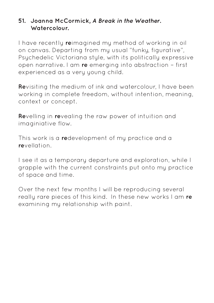## **51. Joanna McCormick, A Break in the Weather. Watercolour.**

I have recently **re**imagined my method of working in oil on canvas. Departing from my usual "funky, figurative", Psychedelic Victoriana style, with its politically expressive open narrative. I am **re** emerging into abstraction – first experienced as a very young child.

**Re**visiting the medium of ink and watercolour, I have been working in complete freedom, without intention, meaning, context or concept.

**Re**velling in **re**vealing the raw power of intuition and imaginiative flow.

This work is a **re**development of my practice and a **re**vellation.

I see it as a temporary departure and exploration, while I grapple with the current constraints put onto my practice of space and time.

Over the next few months I will be reproducing several really rare pieces of this kind. In these new works I am **re** examining my relationship with paint.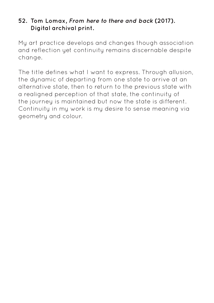## **52. Tom Lomax, From here to there and back (2017). Digital archival print.**

My art practice develops and changes though association and reflection yet continuity remains discernable despite change.

The title defines what I want to express. Through allusion, the dynamic of departing from one state to arrive at an alternative state, then to return to the previous state with a realigned perception of that state, the continuity of the journey is maintained but now the state is different. Continuity in my work is my desire to sense meaning via geometry and colour.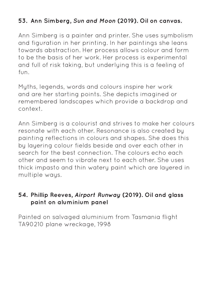# **53. Ann Simberg, Sun and Moon (2019). Oil on canvas.**

Ann Simberg is a painter and printer. She uses symbolism and figuration in her printing. In her paintings she leans towards abstraction. Her process allows colour and form to be the basis of her work. Her process is experimental and full of risk taking, but underlying this is a feeling of fun.

Myths, legends, words and colours inspire her work and are her starting points. She depicts imagined or remembered landscapes which provide a backdrop and context.

Ann Simberg is a colourist and strives to make her colours resonate with each other. Resonance is also created by painting reflections in colours and shapes. She does this by layering colour fields beside and over each other in search for the best connection. The colours echo each other and seem to vibrate next to each other. She uses thick impasto and thin watery paint which are layered in multiple ways.

## **54. Phillip Reeves, Airport Runway (2019). Oil and glass paint on aluminium panel**

Painted on salvaged aluminium from Tasmania flight TA90210 plane wreckage, 1998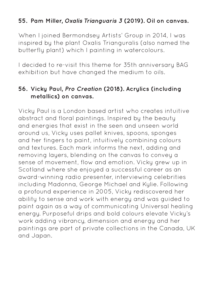# **55. Pam Miller, Oxalis Trianguaris 3 (2019). Oil on canvas.**

When I joined Bermondsey Artists' Group in 2014, I was inspired by the plant Oxalis Trianguralis (also named the butterfly plant) which I painting in watercolours.

I decided to re-visit this theme for 35th anniversary BAG exhibition but have changed the medium to oils.

## **56. Vicky Paul, Pro Creation (2018). Acrylics (including metallics) on canvas.**

Vicky Paul is a London based artist who creates intuitive abstract and floral paintings. Inspired by the beauty and energies that exist in the seen and unseen world around us, Vicky uses pallet knives, spoons, sponges and her fingers to paint, intuitively combining colours and textures. Each mark informs the next, adding and removing layers, blending on the canvas to convey a sense of movement, flow and emotion. Vicky grew up in Scotland where she enjoyed a successful career as an award-winning radio presenter, interviewing celebrities including Madonna, George Michael and Kylie. Following a profound experience in 2005, Vicky rediscovered her ability to sense and work with energy and was guided to paint again as a way of communicating Universal healing energy. Purposeful drips and bold colours elevate Vicky's work adding vibrancy, dimension and energy and her paintings are part of private collections in the Canada, UK and Japan.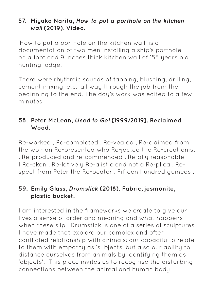## **57. Miyako Narita, How to put a porthole on the kitchen wall (2019). Video.**

'How to put a porthole on the kitchen wall' is a documentation of two men installing a ship's porthole on a foot and 9 inches thick kitchen wall of 155 years old hunting lodge.

There were rhythmic sounds of tapping, blushing, drilling, cement mixing, etc., all way through the job from the beginning to the end. The day's work was edited to a few minutes

# **58. Peter McLean, Used to Go! (1999/2019). Reclaimed Wood.**

Re-worked , Re-completed , Re-vealed , Re-claimed from the woman Re-presented who Re-jected the Re-creationist . Re-produced and re-commended . Re-ally reasonable I Re-ckon . Re-latively Re-alistic and not a Re-plica . Respect from Peter the Re-peater . Fifteen hundred guineas .

# **59. Emily Glass, Drumstick (2018). Fabric, jesmonite, plastic bucket.**

I am interested in the frameworks we create to give our lives a sense of order and meaning and what happens when these slip. Drumstick is one of a series of sculptures I have made that explore our complex and often conflicted relationship with animals: our capacity to relate to them with empathy as 'subjects' but also our ability to distance ourselves from animals by identifying them as 'objects'. This piece invites us to recognise the disturbing connections between the animal and human body.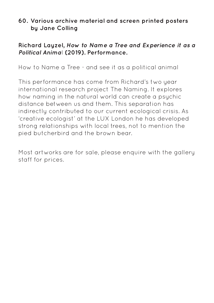## **60. Various archive material and screen printed posters by Jane Colling**

## **Richard Layzel, How to Name a Tree and Experience it as a Political Anima**l **(2019). Performance.**

How to Name a Tree - and see it as a political animal

This performance has come from Richard's two year international research project The Naming. It explores how naming in the natural world can create a psychic distance between us and them. This separation has indirectly contributed to our current ecological crisis. As 'creative ecologist' at the LUX London he has developed strong relationships with local trees, not to mention the pied butcherbird and the brown bear.

Most artworks are for sale, please enquire with the gallery staff for prices.